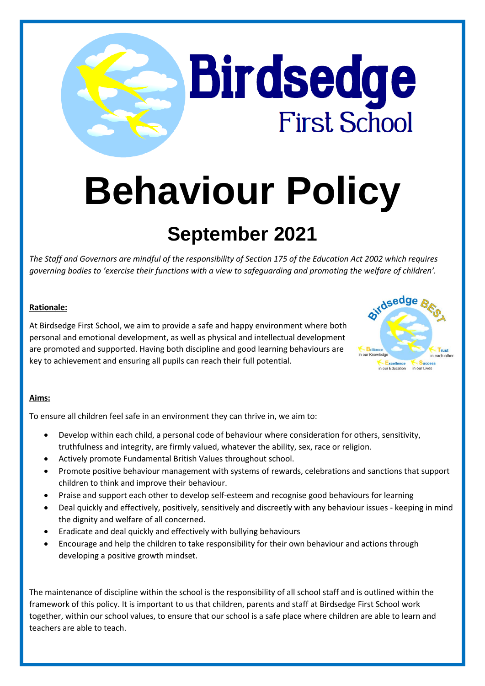# **Behaviour Policy**

**Birdsedge** 

**First School** 

# **September 2021**

*The Staff and Governors are mindful of the responsibility of Section 175 of the Education Act 2002 which requires governing bodies to 'exercise their functions with a view to safeguarding and promoting the welfare of children'.*

# **Rationale:**

At Birdsedge First School, we aim to provide a safe and happy environment where both personal and emotional development, as well as physical and intellectual development are promoted and supported. Having both discipline and good learning behaviours are key to achievement and ensuring all pupils can reach their full potential.



# **Aims:**

To ensure all children feel safe in an environment they can thrive in, we aim to:

- Develop within each child, a personal code of behaviour where consideration for others, sensitivity, truthfulness and integrity, are firmly valued, whatever the ability, sex, race or religion.
- Actively promote Fundamental British Values throughout school.
- Promote positive behaviour management with systems of rewards, celebrations and sanctions that support children to think and improve their behaviour.
- Praise and support each other to develop self-esteem and recognise good behaviours for learning
- Deal quickly and effectively, positively, sensitively and discreetly with any behaviour issues keeping in mind the dignity and welfare of all concerned.
- Eradicate and deal quickly and effectively with bullying behaviours
- Encourage and help the children to take responsibility for their own behaviour and actions through developing a positive growth mindset.

The maintenance of discipline within the school is the responsibility of all school staff and is outlined within the framework of this policy. It is important to us that children, parents and staff at Birdsedge First School work together, within our school values, to ensure that our school is a safe place where children are able to learn and teachers are able to teach.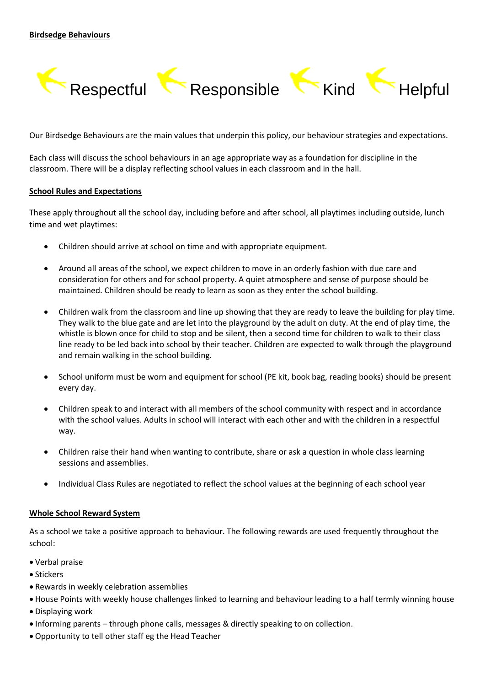

Our Birdsedge Behaviours are the main values that underpin this policy, our behaviour strategies and expectations.

Each class will discuss the school behaviours in an age appropriate way as a foundation for discipline in the classroom. There will be a display reflecting school values in each classroom and in the hall.

#### **School Rules and Expectations**

These apply throughout all the school day, including before and after school, all playtimes including outside, lunch time and wet playtimes:

- Children should arrive at school on time and with appropriate equipment.
- Around all areas of the school, we expect children to move in an orderly fashion with due care and consideration for others and for school property. A quiet atmosphere and sense of purpose should be maintained. Children should be ready to learn as soon as they enter the school building.
- Children walk from the classroom and line up showing that they are ready to leave the building for play time. They walk to the blue gate and are let into the playground by the adult on duty. At the end of play time, the whistle is blown once for child to stop and be silent, then a second time for children to walk to their class line ready to be led back into school by their teacher. Children are expected to walk through the playground and remain walking in the school building.
- School uniform must be worn and equipment for school (PE kit, book bag, reading books) should be present every day.
- Children speak to and interact with all members of the school community with respect and in accordance with the school values. Adults in school will interact with each other and with the children in a respectful way.
- Children raise their hand when wanting to contribute, share or ask a question in whole class learning sessions and assemblies.
- Individual Class Rules are negotiated to reflect the school values at the beginning of each school year

#### **Whole School Reward System**

As a school we take a positive approach to behaviour. The following rewards are used frequently throughout the school:

- Verbal praise
- Stickers
- Rewards in weekly celebration assemblies
- House Points with weekly house challenges linked to learning and behaviour leading to a half termly winning house
- Displaying work
- Informing parents through phone calls, messages & directly speaking to on collection.
- Opportunity to tell other staff eg the Head Teacher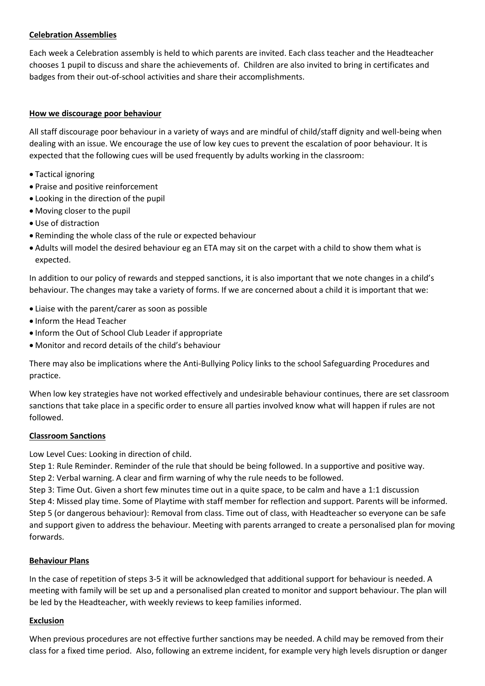# **Celebration Assemblies**

Each week a Celebration assembly is held to which parents are invited. Each class teacher and the Headteacher chooses 1 pupil to discuss and share the achievements of. Children are also invited to bring in certificates and badges from their out-of-school activities and share their accomplishments.

#### **How we discourage poor behaviour**

All staff discourage poor behaviour in a variety of ways and are mindful of child/staff dignity and well-being when dealing with an issue. We encourage the use of low key cues to prevent the escalation of poor behaviour. It is expected that the following cues will be used frequently by adults working in the classroom:

- Tactical ignoring
- Praise and positive reinforcement
- Looking in the direction of the pupil
- Moving closer to the pupil
- Use of distraction
- Reminding the whole class of the rule or expected behaviour
- Adults will model the desired behaviour eg an ETA may sit on the carpet with a child to show them what is expected.

In addition to our policy of rewards and stepped sanctions, it is also important that we note changes in a child's behaviour. The changes may take a variety of forms. If we are concerned about a child it is important that we:

- Liaise with the parent/carer as soon as possible
- Inform the Head Teacher
- Inform the Out of School Club Leader if appropriate
- Monitor and record details of the child's behaviour

There may also be implications where the Anti-Bullying Policy links to the school Safeguarding Procedures and practice.

When low key strategies have not worked effectively and undesirable behaviour continues, there are set classroom sanctions that take place in a specific order to ensure all parties involved know what will happen if rules are not followed.

#### **Classroom Sanctions**

Low Level Cues: Looking in direction of child.

Step 1: Rule Reminder. Reminder of the rule that should be being followed. In a supportive and positive way. Step 2: Verbal warning. A clear and firm warning of why the rule needs to be followed.

Step 3: Time Out. Given a short few minutes time out in a quite space, to be calm and have a 1:1 discussion Step 4: Missed play time. Some of Playtime with staff member for reflection and support. Parents will be informed. Step 5 (or dangerous behaviour): Removal from class. Time out of class, with Headteacher so everyone can be safe and support given to address the behaviour. Meeting with parents arranged to create a personalised plan for moving forwards.

#### **Behaviour Plans**

In the case of repetition of steps 3-5 it will be acknowledged that additional support for behaviour is needed. A meeting with family will be set up and a personalised plan created to monitor and support behaviour. The plan will be led by the Headteacher, with weekly reviews to keep families informed.

#### **Exclusion**

When previous procedures are not effective further sanctions may be needed. A child may be removed from their class for a fixed time period. Also, following an extreme incident, for example very high levels disruption or danger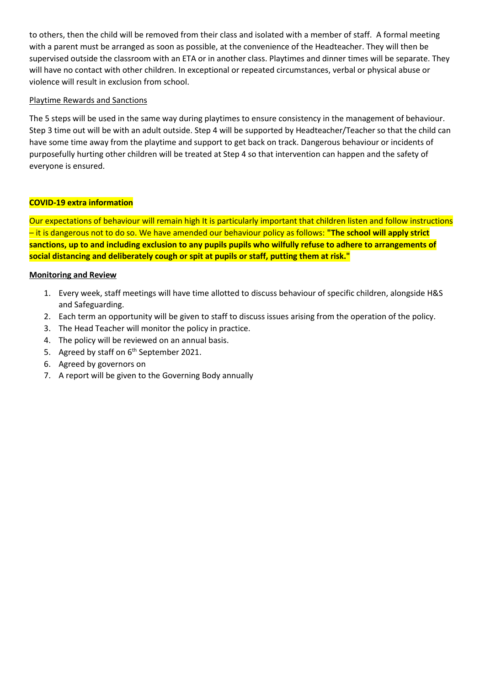to others, then the child will be removed from their class and isolated with a member of staff. A formal meeting with a parent must be arranged as soon as possible, at the convenience of the Headteacher. They will then be supervised outside the classroom with an ETA or in another class. Playtimes and dinner times will be separate. They will have no contact with other children. In exceptional or repeated circumstances, verbal or physical abuse or violence will result in exclusion from school.

## Playtime Rewards and Sanctions

The 5 steps will be used in the same way during playtimes to ensure consistency in the management of behaviour. Step 3 time out will be with an adult outside. Step 4 will be supported by Headteacher/Teacher so that the child can have some time away from the playtime and support to get back on track. Dangerous behaviour or incidents of purposefully hurting other children will be treated at Step 4 so that intervention can happen and the safety of everyone is ensured.

# **COVID-19 extra information**

Our expectations of behaviour will remain high It is particularly important that children listen and follow instructions – it is dangerous not to do so. We have amended our behaviour policy as follows: **"The school will apply strict sanctions, up to and including exclusion to any pupils pupils who wilfully refuse to adhere to arrangements of social distancing and deliberately cough or spit at pupils or staff, putting them at risk."**

#### **Monitoring and Review**

- 1. Every week, staff meetings will have time allotted to discuss behaviour of specific children, alongside H&S and Safeguarding.
- 2. Each term an opportunity will be given to staff to discuss issues arising from the operation of the policy.
- 3. The Head Teacher will monitor the policy in practice.
- 4. The policy will be reviewed on an annual basis.
- 5. Agreed by staff on 6<sup>th</sup> September 2021.
- 6. Agreed by governors on
- 7. A report will be given to the Governing Body annually